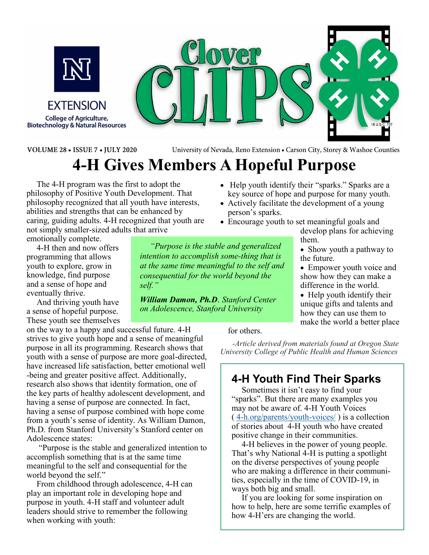

**FXTENSION College of Agriculture, Biotechnology & Natural Resources** 



VOLUME 28 . ISSUE 7 . JULY 2020

University of Nevada, Reno Extension . Carson City, Storey & Washoe Counties

# **4-H Gives Members A Hopeful Purpose**

*"Purpose is the stable and generalized intention to accomplish some-thing that is at the same time meaningful to the self and consequential for the world beyond the* 

*William Damon, Ph.D. Stanford Center on Adolescence, Stanford University*

The 4-H program was the first to adopt the philosophy of Positive Youth Development. That philosophy recognized that all youth have interests, abilities and strengths that can be enhanced by caring, guiding adults. 4-H recognized that youth are not simply smaller-sized adults that arrive

*self."* 

emotionally complete. 4-H then and now offers

programming that allows youth to explore, grow in knowledge, find purpose and a sense of hope and eventually thrive.

And thriving youth have a sense of hopeful purpose. These youth see themselves

on the way to a happy and successful future. 4-H strives to give youth hope and a sense of meaningful purpose in all its programming. Research shows that youth with a sense of purpose are more goal-directed, have increased life satisfaction, better emotional well -being and greater positive affect. Additionally, research also shows that identity formation, one of the key parts of healthy adolescent development, and having a sense of purpose are connected. In fact, having a sense of purpose combined with hope come from a youth's sense of identity. As William Damon, Ph.D. from Stanford University's Stanford center on Adolescence states:

"Purpose is the stable and generalized intention to accomplish something that is at the same time meaningful to the self and consequential for the world beyond the self."

From childhood through adolescence, 4-H can play an important role in developing hope and purpose in youth. 4-H staff and volunteer adult leaders should strive to remember the following when working with youth:

- Actively facilitate the development of a young person's sparks.
	- Encourage youth to set meaningful goals and develop plans for achieving them.

• Help youth identify their "sparks." Sparks are a key source of hope and purpose for many youth.

- Show youth a pathway to the future.
- Empower youth voice and show how they can make a difference in the world.
- Help youth identify their unique gifts and talents and how they can use them to make the world a better place

for others.

*-Article derived from materials found at Oregon State University College of Public Health and Human Sciences*

### **4-H Youth Find Their Sparks**

Sometimes it isn't easy to find your "sparks". But there are many examples you may not be aware of. 4-H Youth Voices ( 4-h.org/parents/youth-voices/ ) is a collection of stories about 4-H youth who have created positive change in their communities.

4‑H believes in the power of young people. That's why National 4-H is putting a spotlight on the diverse perspectives of young people who are making a difference in their communities, especially in the time of COVID-19, in ways both big and small.

If you are looking for some inspiration on how to help, here are some terrific examples of how 4-H'ers are changing the world.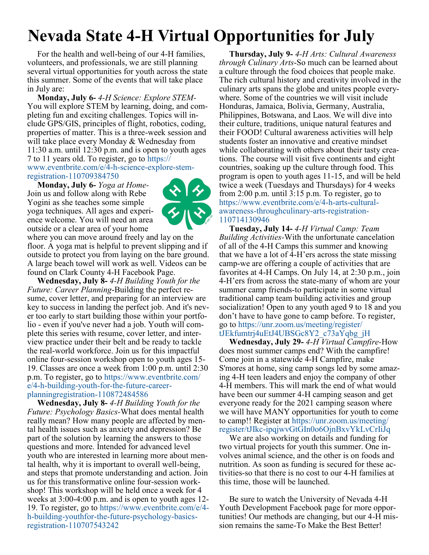# **Nevada State 4-H Virtual Opportunities for July**

For the health and well-being of our 4-H families, volunteers, and professionals, we are still planning several virtual opportunities for youth across the state this summer. Some of the events that will take place in July are:

**Monday, July 6-** *4-H Science: Explore STEM-*You will explore STEM by learning, doing, and completing fun and exciting challenges. Topics will include GPS/GIS, principles of flight, robotics, coding, properties of matter. This is a three-week session and will take place every Monday & Wednesday from 11:30 a.m. until 12:30 p.m. and is open to youth ages 7 to 11 years old. To register, go to https:// www.eventbrite.com/e/4-h-science-explore-stemregistration-110709384750

**Monday, July 6-** *Yoga at Home-*Join us and follow along with Rebe Yogini as she teaches some simple yoga techniques. All ages and experience welcome. You will need an area outside or a clear area of your home



where you can move around freely and lay on the floor. A yoga mat is helpful to prevent slipping and if outside to protect you from laying on the bare ground. A large beach towel will work as well. Videos can be found on Clark County 4-H Facebook Page.

**Wednesday, July 8-** *4-H Building Youth for the Future: Career Planning*-Building the perfect resume, cover letter, and preparing for an interview are key to success in landing the perfect job. And it's never too early to start building those within your portfolio - even if you've never had a job. Youth will complete this series with resume, cover letter, and interview practice under their belt and be ready to tackle the real-world workforce. Join us for this impactful online four-session workshop open to youth ages 15- 19. Classes are once a week from 1:00 p.m. until 2:30 p.m. To register, go to https://www.eventbrite.com/ e/4-h-building-youth-for-the-future-careerplanningregistration-110872484586

**Wednesday, July 8-** *4-H Building Youth for the Future: Psychology Basics-*What does mental health really mean? How many people are affected by mental health issues such as anxiety and depression? Be part of the solution by learning the answers to those questions and more. Intended for advanced level youth who are interested in learning more about mental health, why it is important to overall well-being, and steps that promote understanding and action. Join us for this transformative online four-session workshop! This workshop will be held once a week for 4 weeks at 3:00-4:00 p.m. and is open to youth ages 12- 19. To register, go to https://www.eventbrite.com/e/4 h-building-youthfor-the-future-psychology-basicsregistration-110707543242

**Thursday, July 9-** *4-H Arts: Cultural Awareness through Culinary Arts*-So much can be learned about a culture through the food choices that people make. The rich cultural history and creativity involved in the culinary arts spans the globe and unites people everywhere. Some of the countries we will visit include Honduras, Jamaica, Bolivia, Germany, Australia, Philippines, Botswana, and Laos. We will dive into their culture, traditions, unique natural features and their FOOD! Cultural awareness activities will help students foster an innovative and creative mindset while collaborating with others about their tasty creations.  The course will visit five continents and eight countries, soaking up the culture through food. This program is open to youth ages 11-15, and will be held twice a week (Tuesdays and Thursdays) for 4 weeks from 2:00 p.m. until 3:15 p.m. To register, go to https://www.eventbrite.com/e/4-h-arts-culturalawareness-throughculinary-arts-registration-110714130946

**Tuesday, July 14-** *4-H Virtual Camp: Team Building Activities-*With the unfortunate cancelation of all of the 4-H Camps this summer and knowing that we have a lot of 4-H'ers across the state missing camp-we are offering a couple of activities that are favorites at 4-H Camps. On July 14, at 2:30 p.m., join 4-H'ers from across the state-many of whom are your summer camp friends-to participate in some virtual traditional camp team building activities and group socialization! Open to any youth aged 9 to 18 and you don't have to have gone to camp before. To register, go to https://unr.zoom.us/meeting/register/ tJEkfumtrj4uEtJ4UBSGc8Y2\_c73aYqbg\_jH

**Wednesday, July 29***- 4-H Virtual Campfire-*How does most summer camps end? With the campfire! Come join in a statewide 4-H Campfire, make S'mores at home, sing camp songs led by some amazing 4-H teen leaders and enjoy the company of other 4-H members. This will mark the end of what would have been our summer 4-H camping season and get everyone ready for the 2021 camping season where we will have MANY opportunities for youth to come to camp!! Register at https://unr.zoom.us/meeting/ register/tJIkc-ipqjwvGtGIn0o6OjnBxvYkLvCrIiJq

We are also working on details and funding for two virtual projects for youth this summer. One involves animal science, and the other is on foods and nutrition. As soon as funding is secured for these activities-so that there is no cost to our 4-H families at this time, those will be launched.

Be sure to watch the University of Nevada 4-H Youth Development Facebook page for more opportunities! Our methods are changing, but our 4-H mission remains the same-To Make the Best Better!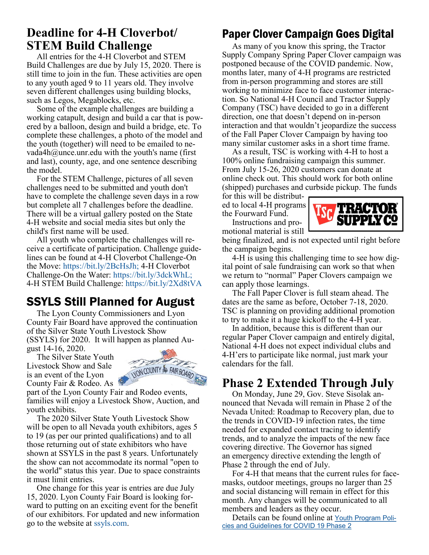### **Deadline for 4-H Cloverbot/ STEM Build Challenge**

All entries for the 4-H Cloverbot and STEM Build Challenges are due by July 15, 2020. There is still time to join in the fun. These activities are open to any youth aged 9 to 11 years old. They involve seven different challenges using building blocks, such as Legos, Megablocks, etc.

Some of the example challenges are building a working catapult, design and build a car that is powered by a balloon, design and build a bridge, etc. To complete these challenges, a photo of the model and the youth (together) will need to be emailed to nevada4h $@$ unce.unr.edu with the youth's name (first and last), county, age, and one sentence describing the model.

For the STEM Challenge, pictures of all seven challenges need to be submitted and youth don't have to complete the challenge seven days in a row but complete all 7 challenges before the deadline. There will be a virtual gallery posted on the State 4-H website and social media sites but only the child's first name will be used.

All youth who complete the challenges will receive a certificate of participation. Challenge guidelines can be found at 4-H Cloverbot Challenge-On the Move: https://bit.ly/2BcHsJh; 4-H Cloverbot Challenge-On the Water: https://bit.ly/3dckWhL; 4-H STEM Build Challenge: https://bit.ly/2Xd8tVA

# SSYLS Still Planned for August

The Lyon County Commissioners and Lyon County Fair Board have approved the continuation of the Silver State Youth Livestock Show (SSYLS) for 2020. It will happen as planned August 14-16, 2020.

The Silver State Youth Livestock Show and Sale is an event of the Lyon County Fair & Rodeo. As



part of the Lyon County Fair and Rodeo events, families will enjoy a Livestock Show, Auction, and youth exhibits.

The 2020 Silver State Youth Livestock Show will be open to all Nevada youth exhibitors, ages 5 to 19 (as per our printed qualifications) and to all those returning out of state exhibitors who have shown at SSYLS in the past 8 years. Unfortunately the show can not accommodate its normal "open to the world" status this year. Due to space constraints it must limit entries.

One change for this year is entries are due July 15, 2020. Lyon County Fair Board is looking forward to putting on an exciting event for the benefit of our exhibitors. For updated and new information go to the website at ssyls.com.

# Paper Clover Campaign Goes Digital

As many of you know this spring, the Tractor Supply Company Spring Paper Clover campaign was postponed because of the COVID pandemic. Now, months later, many of 4-H programs are restricted from in-person programming and stores are still working to minimize face to face customer interaction. So National 4-H Council and Tractor Supply Company (TSC) have decided to go in a different direction, one that doesn't depend on in-person interaction and that wouldn't jeopardize the success of the Fall Paper Clover Campaign by having too many similar customer asks in a short time frame.

As a result, TSC is working with 4-H to host a 100% online fundraising campaign this summer. From July 15-26, 2020 customers can donate at online check out. This should work for both online (shipped) purchases and curbside pickup. The funds

for this will be distributed to local 4-H programs the Fourward Fund.

Instructions and promotional material is still



being finalized, and is not expected until right before the campaign begins.

4-H is using this challenging time to see how digital point of sale fundraising can work so that when we return to "normal" Paper Clovers campaign we can apply those learnings.

The Fall Paper Clover is full steam ahead. The dates are the same as before, October 7-18, 2020. TSC is planning on providing additional promotion to try to make it a huge kickoff to the 4-H year.

In addition, because this is different than our regular Paper Clover campaign and entirely digital, National 4-H does not expect individual clubs and 4-H'ers to participate like normal, just mark your calendars for the fall.

## **Phase 2 Extended Through July**

On Monday, June 29, Gov. Steve Sisolak announced that Nevada will remain in Phase 2 of the Nevada United: Roadmap to Recovery plan, due to the trends in COVID-19 infection rates, the time needed for expanded contact tracing to identify trends, and to analyze the impacts of the new face covering directive. The Governor has signed an emergency directive extending the length of Phase 2 through the end of July.

For 4-H that means that the current rules for facemasks, outdoor meetings, groups no larger than 25 and social distancing will remain in effect for this month. Any changes will be communicated to all members and leaders as they occur.

Details can be found online at Youth Program Policies and Guidelines for COVID 19 Phase 2